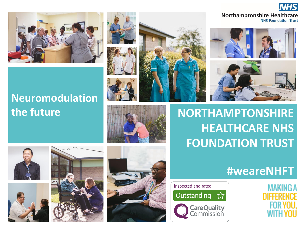

#### **Northamptonshire Healthcare NHS Foundation Trust**





**the future The Research Construction Construction Construction Construction Construction Construction Construction Construction Construction Construction Construction Construction Construction Construction Construction Co HEALTHCARE NHS FOUNDATION TRUST**

Inspected and rated

Outstanding

**CareQuality**<br>Commission







# **Neuromodulation**











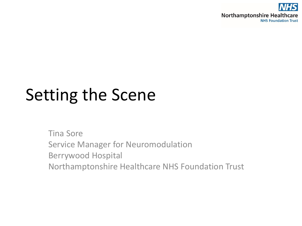

# Setting the Scene

Tina Sore Service Manager for Neuromodulation Berrywood Hospital Northamptonshire Healthcare NHS Foundation Trust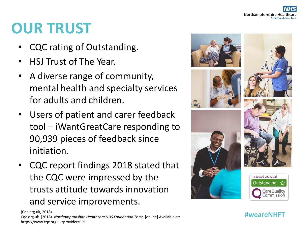### **OUR TRUST**

- CQC rating of Outstanding.
- HSJ Trust of The Year.
- A diverse range of community, mental health and specialty services for adults and children.
- Users of patient and carer feedback tool – iWantGreatCare responding to 90,939 pieces of feedback since initiation.
- CQC report findings 2018 stated that the CQC were impressed by the trusts attitude towards innovation and service improvements.



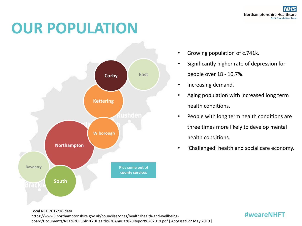### **OUR POPULATION**



- Growing population of c.741k.
- Significantly higher rate of depression for people over 18 - 10.7%.
- Increasing demand.
- Aging population with increased long term health conditions.
- People with long term health conditions are three times more likely to develop mental health conditions.
- 'Challenged' health and social care economy.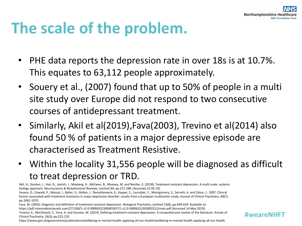# **The scale of the problem.**

- PHE data reports the depression rate in over 18s is at 10.7%. This equates to 63,112 people approximately.
- Souery et al., (2007) found that up to 50% of people in a multi site study over Europe did not respond to two consecutive courses of antidepressant treatment.
- Similarly, Akil et al(2019),Fava(2003), Trevino et al(2014) also found 50 % of patients in a major depressive episode are characterised as Treatment Resistive.
- Within the locality 31,556 people will be diagnosed as difficult to treat depression or TRD.

Akil, H., Gordon, J., Hen, R., Javitch, J., Mayberg, H., McEwen, B., Meaney, M. and Nestler, E. (2018). Treatment resistant depression: A multi-scale, systems biology approach. Neuroscience & Biobehavioral Reviews, [online] 84, pp.272-288. [Accessed 22.05.19].

Souery, D., Oswald, P., Massat, I., Bailer, U., Bollen, J., Demyttenaere, K., Kasper, S., Lecrubier, Y., Montgomery, S., Serretti, A. and Zohar, J., 2007. Clinical factors associated with treatment resistance in major depressive disorder: results from a European multicenter study. Journal of Clinical Psychiatry, 68(7), pp.1062-1070.

Fava, M. (2003). Diagnosis and definition of treatment-resistant depression. Biological Psychiatry, [online] 53(8), pp.649-659. Available at:

https://pdf.sciencedirectassets.com/271200/1-s2.0-S0006322300X03927/1-s2.0-S0006322303002312/main.pdf [Accessed 14 May 2019].

Trevino, K., McClintock, S., Vora, A. and Hussian, M. (2014). Defining treatment-resistant depression: A comprehensive review of the literature. Annals of Clinical Psychiatry, 26(3), pp.222-232.

https://www.gov.uk/government/publications/wellbeing-in-mental-health-applying-all-our-health/wellbeing-in-mental-health-applying-all-our-health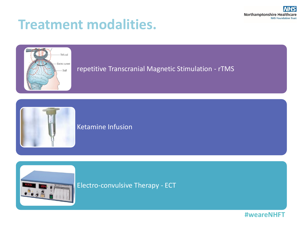

#### **Treatment modalities.**



#### repetitive Transcranial Magnetic Stimulation - rTMS



#### Ketamine Infusion



Electro-convulsive Therapy - ECT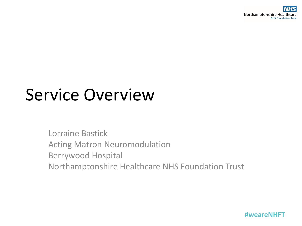# Service Overview

Lorraine Bastick Acting Matron Neuromodulation Berrywood Hospital Northamptonshire Healthcare NHS Foundation Trust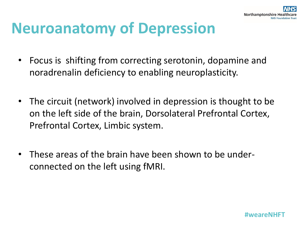

### **Neuroanatomy of Depression**

- Focus is shifting from correcting serotonin, dopamine and noradrenalin deficiency to enabling neuroplasticity.
- The circuit (network) involved in depression is thought to be on the left side of the brain, Dorsolateral Prefrontal Cortex, Prefrontal Cortex, Limbic system.
- These areas of the brain have been shown to be underconnected on the left using fMRI.

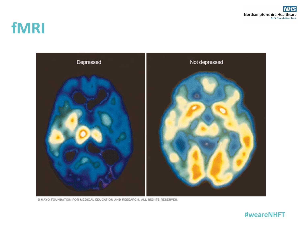#### **fMRI**



@ MAYO FOUNDATION FOR MEDICAL EDUCATION AND RESEARCH. ALL RIGHTS RESERVED.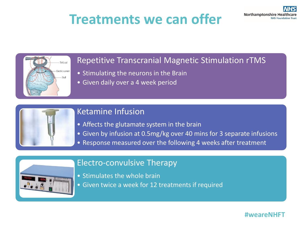#### **Treatments we can offer**



#### Repetitive Transcranial Magnetic Stimulation rTMS

- Stimulating the neurons in the Brain
- Given daily over a 4 week period



#### Ketamine Infusion

- Affects the glutamate system in the brain
- Given by infusion at 0.5mg/kg over 40 mins for 3 separate infusions
- Response measured over the following 4 weeks after treatment



#### Electro-convulsive Therapy

- Stimulates the whole brain
- Given twice a week for 12 treatments if required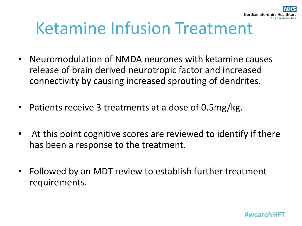# Ketamine Infusion Treatment

- Neuromodulation of NMDA neurones with ketamine causes release of brain derived neurotropic factor and increased connectivity by causing increased sprouting of dendrites.
- Patients receive 3 treatments at a dose of 0.5mg/kg.
- At this point cognitive scores are reviewed to identify if there has been a response to the treatment.
- Followed by an MDT review to establish further treatment requirements.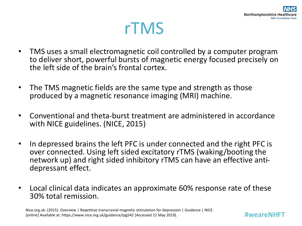

### rTMS

- TMS uses a small electromagnetic coil controlled by a computer program to deliver short, powerful bursts of magnetic energy focused precisely on the left side of the brain's frontal cortex.
- The TMS magnetic fields are the same type and strength as those produced by a magnetic resonance imaging (MRI) machine.
- Conventional and theta-burst treatment are administered in accordance with NICE guidelines. (NICE, 2015)
- In depressed brains the left PFC is under connected and the right PFC is over connected. Using left sided excitatory rTMS (waking/booting the network up) and right sided inhibitory rTMS can have an effective antidepressant effect.
- Local clinical data indicates an approximate 60% response rate of these 30% total remission.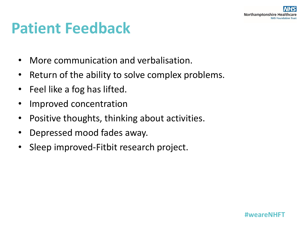### **Patient Feedback**

- More communication and verbalisation.
- Return of the ability to solve complex problems.
- Feel like a fog has lifted.
- Improved concentration
- Positive thoughts, thinking about activities.
- Depressed mood fades away.
- Sleep improved-Fitbit research project.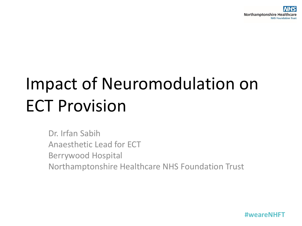# Impact of Neuromodulation on ECT Provision

Dr. Irfan Sabih Anaesthetic Lead for ECT Berrywood Hospital Northamptonshire Healthcare NHS Foundation Trust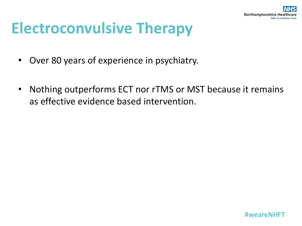

### **Electroconvulsive Therapy**

- Over 80 years of experience in psychiatry.
- Nothing outperforms ECT nor rTMS or MST because it remains as effective evidence based intervention.

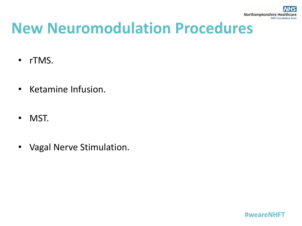### **New Neuromodulation Procedures**

- rTMS.
- Ketamine Infusion.
- MST.
- Vagal Nerve Stimulation.

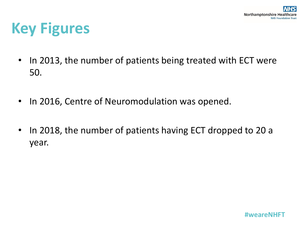# **Key Figures**

- In 2013, the number of patients being treated with ECT were 50.
- In 2016, Centre of Neuromodulation was opened.
- In 2018, the number of patients having ECT dropped to 20 a year.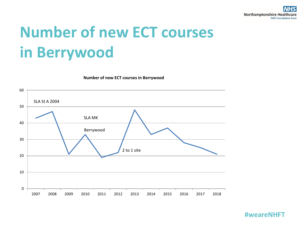# **Number of new ECT courses in Berrywood**

**Number of new ECT courses in Berrywood**

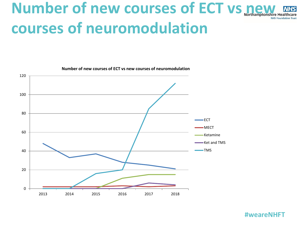# **Number of new courses of ECT vs new EXPLACE courses of neuromodulation**



**Number of new courses of ECT vs new courses of neuromodulation**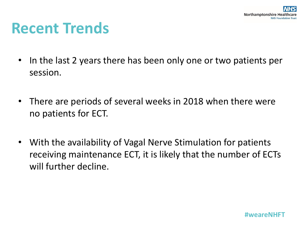### **Recent Trends**

- In the last 2 years there has been only one or two patients per session.
- There are periods of several weeks in 2018 when there were no patients for ECT.
- With the availability of Vagal Nerve Stimulation for patients receiving maintenance ECT, it is likely that the number of ECTs will further decline.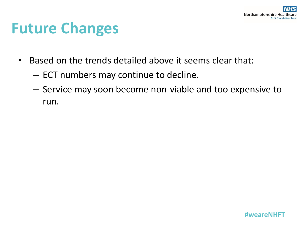### **Future Changes**

- Based on the trends detailed above it seems clear that:
	- ECT numbers may continue to decline.
	- Service may soon become non-viable and too expensive to run.

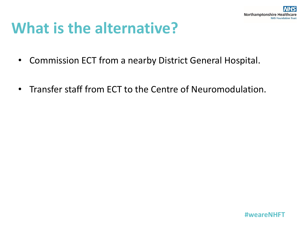

### **What is the alternative?**

- Commission ECT from a nearby District General Hospital.
- Transfer staff from ECT to the Centre of Neuromodulation.

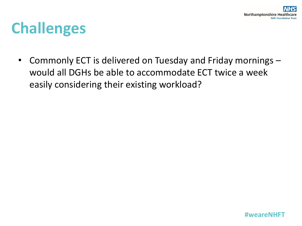### **Challenges**

• Commonly ECT is delivered on Tuesday and Friday mornings – would all DGHs be able to accommodate ECT twice a week easily considering their existing workload?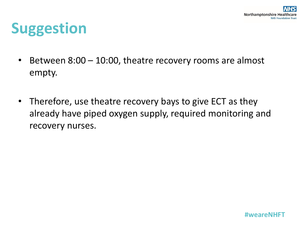### **Suggestion**

- Between 8:00 10:00, theatre recovery rooms are almost empty.
- Therefore, use theatre recovery bays to give ECT as they already have piped oxygen supply, required monitoring and recovery nurses.

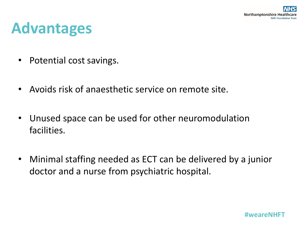### **Advantages**

- Potential cost savings.
- Avoids risk of anaesthetic service on remote site.
- Unused space can be used for other neuromodulation facilities.
- Minimal staffing needed as ECT can be delivered by a junior doctor and a nurse from psychiatric hospital.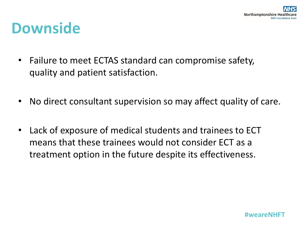#### **Downside**

- Failure to meet ECTAS standard can compromise safety, quality and patient satisfaction.
- No direct consultant supervision so may affect quality of care.
- Lack of exposure of medical students and trainees to ECT means that these trainees would not consider ECT as a treatment option in the future despite its effectiveness.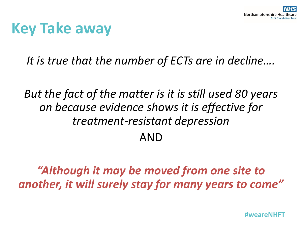### **Key Take away**

*It is true that the number of ECTs are in decline….* 

*But the fact of the matter is it is still used 80 years on because evidence shows it is effective for treatment-resistant depression* AND

*"Although it may be moved from one site to another, it will surely stay for many years to come"*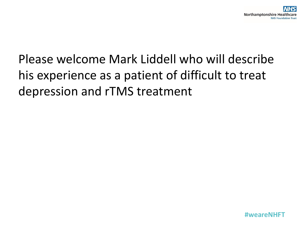#### Please welcome Mark Liddell who will describe his experience as a patient of difficult to treat depression and rTMS treatment

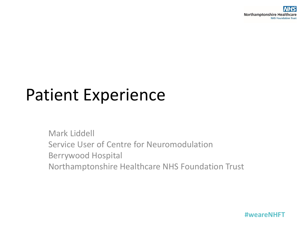# Patient Experience

Mark Liddell Service User of Centre for Neuromodulation Berrywood Hospital Northamptonshire Healthcare NHS Foundation Trust